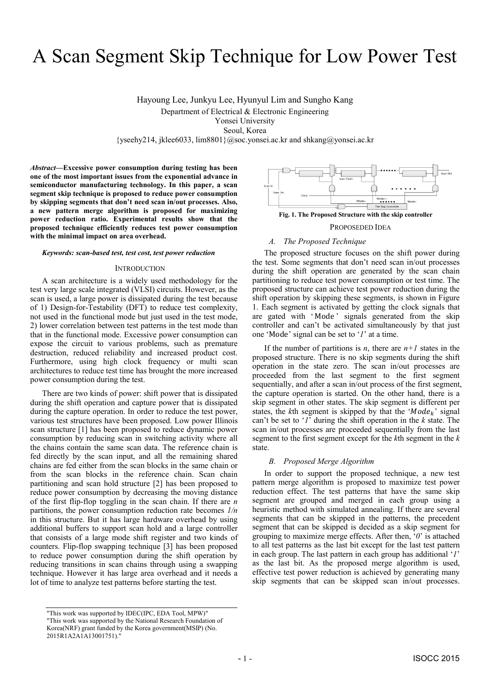# A Scan Segment Skip Technique for Low Power Test

Hayoung Lee, Junkyu Lee, Hyunyul Lim and Sungho Kang Department of Electrical & Electronic Engineering Yonsei University Seoul, Korea {yseehy214, jklee6033, lim8801}@soc.yonsei.ac.kr and shkang@yonsei.ac.kr

*Abstract***—Excessive power consumption during testing has been one of the most important issues from the exponential advance in semiconductor manufacturing technology. In this paper, a scan segment skip technique is proposed to reduce power consumption by skipping segments that don't need scan in/out processes. Also, a new pattern merge algorithm is proposed for maximizing power reduction ratio. Experimental results show that the proposed technique efficiently reduces test power consumption with the minimal impact on area overhead.** 

#### *Keywords: scan-based test, test cost, test power reduction*

### **INTRODUCTION**

A scan architecture is a widely used methodology for the test very large scale integrated (VLSI) circuits. However, as the scan is used, a large power is dissipated during the test because of 1) Design-for-Testability (DFT) to reduce test complexity, not used in the functional mode but just used in the test mode, 2) lower correlation between test patterns in the test mode than that in the functional mode. Excessive power consumption can expose the circuit to various problems, such as premature destruction, reduced reliability and increased product cost. Furthermore, using high clock frequency or multi scan architectures to reduce test time has brought the more increased power consumption during the test.

There are two kinds of power: shift power that is dissipated during the shift operation and capture power that is dissipated during the capture operation. In order to reduce the test power, various test structures have been proposed. Low power Illinois scan structure [1] has been proposed to reduce dynamic power consumption by reducing scan in switching activity where all the chains contain the same scan data. The reference chain is fed directly by the scan input, and all the remaining shared chains are fed either from the scan blocks in the same chain or from the scan blocks in the reference chain. Scan chain partitioning and scan hold structure [2] has been proposed to reduce power consumption by decreasing the moving distance of the first flip-flop toggling in the scan chain. If there are *n* partitions, the power consumption reduction rate becomes *1/n* in this structure. But it has large hardware overhead by using additional buffers to support scan hold and a large controller that consists of a large mode shift register and two kinds of counters. Flip-flop swapping technique [3] has been proposed to reduce power consumption during the shift operation by reducing transitions in scan chains through using a swapping technique. However it has large area overhead and it needs a lot of time to analyze test patterns before starting the test.



PROPOSEDED IDEA

#### *A. The Proposed Technique*

The proposed structure focuses on the shift power during the test. Some segments that don't need scan in/out processes during the shift operation are generated by the scan chain partitioning to reduce test power consumption or test time. The proposed structure can achieve test power reduction during the shift operation by skipping these segments, is shown in Figure 1. Each segment is activated by getting the clock signals that are gated with 'Mode' signals generated from the skip controller and can't be activated simultaneously by that just one 'Mode' signal can be set to '*1*' at a time.

If the number of partitions is *n*, there are  $n+1$  states in the proposed structure. There is no skip segments during the shift operation in the state zero. The scan in/out processes are proceeded from the last segment to the first segment sequentially, and after a scan in/out process of the first segment, the capture operation is started. On the other hand, there is a skip segment in other states. The skip segment is different per states, the  $k$ th segment is skipped by that the ' $Mode_k$ ' signal can't be set to '*1*' during the shift operation in the *k* state. The scan in/out processes are proceeded sequentially from the last segment to the first segment except for the *k*th segment in the *k* state.

#### *B. Proposed Merge Algorithm*

In order to support the proposed technique, a new test pattern merge algorithm is proposed to maximize test power reduction effect. The test patterns that have the same skip segment are grouped and merged in each group using a heuristic method with simulated annealing. If there are several segments that can be skipped in the patterns, the precedent segment that can be skipped is decided as a skip segment for grouping to maximize merge effects. After then, '*0*' is attached to all test patterns as the last bit except for the last test pattern in each group. The last pattern in each group has additional '*1*' as the last bit. As the proposed merge algorithm is used, effective test power reduction is achieved by generating many skip segments that can be skipped scan in/out processes.

<sup>&</sup>quot;This work was supported by IDEC(IPC, EDA Tool, MPW)" "This work was supported by the National Research Foundation of Korea(NRF) grant funded by the Korea government(MSIP) (No. 2015R1A2A1A13001751)."